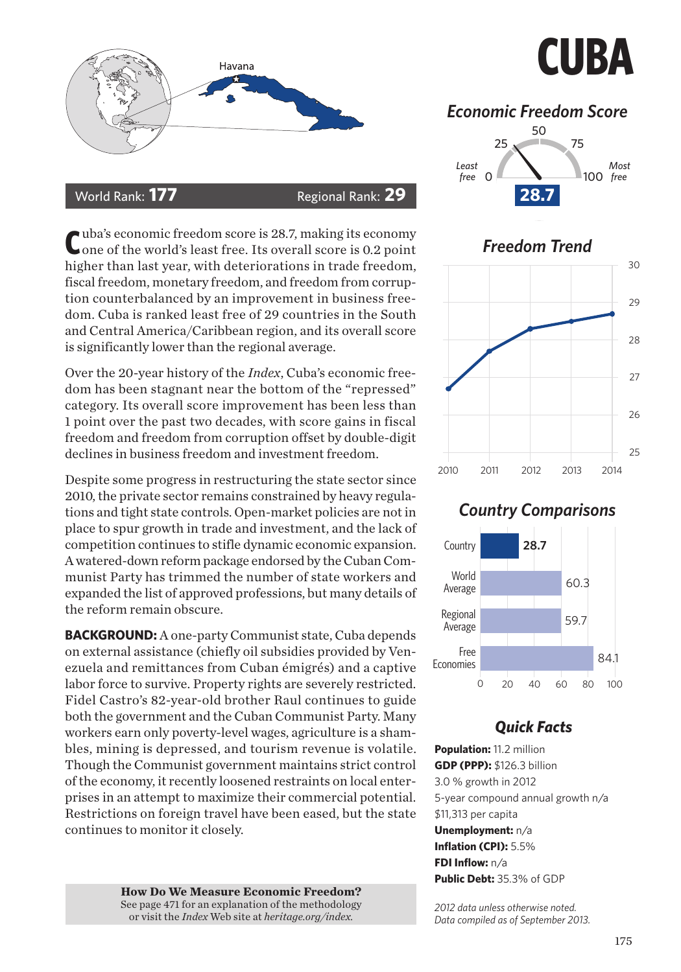

#### World Rank: **177** Regional Rank: **29**

Cuba's economic freedom score is 28.7, making its economy<br>One of the world's least free. Its overall score is 0.2 point higher than last year, with deteriorations in trade freedom, fiscal freedom, monetary freedom, and freedom from corruption counterbalanced by an improvement in business freedom. Cuba is ranked least free of 29 countries in the South and Central America/Caribbean region, and its overall score is significantly lower than the regional average.

Over the 20-year history of the *Index*, Cuba's economic freedom has been stagnant near the bottom of the "repressed" category. Its overall score improvement has been less than 1 point over the past two decades, with score gains in fiscal freedom and freedom from corruption offset by double-digit declines in business freedom and investment freedom.

Despite some progress in restructuring the state sector since 2010, the private sector remains constrained by heavy regulations and tight state controls. Open-market policies are not in place to spur growth in trade and investment, and the lack of competition continues to stifle dynamic economic expansion. A watered-down reform package endorsed by the Cuban Communist Party has trimmed the number of state workers and expanded the list of approved professions, but many details of the reform remain obscure.

**BACKGROUND:** A one-party Communist state, Cuba depends on external assistance (chiefly oil subsidies provided by Venezuela and remittances from Cuban émigrés) and a captive labor force to survive. Property rights are severely restricted. Fidel Castro's 82-year-old brother Raul continues to guide both the government and the Cuban Communist Party. Many workers earn only poverty-level wages, agriculture is a shambles, mining is depressed, and tourism revenue is volatile. Though the Communist government maintains strict control of the economy, it recently loosened restraints on local enterprises in an attempt to maximize their commercial potential. Restrictions on foreign travel have been eased, but the state continues to monitor it closely.

> **How Do We Measure Economic Freedom?**<br>See page 471 for an explanation of the methodology or visit the *Index* Web site at *heritage.org/index.*

# **CUBA**

## *Economic Freedom Score*





### *Country Comparisons*



### *Quick Facts*

**Population:** 11.2 million **GDP (PPP):** \$126.3 billion 3.0 % growth in 2012 5-year compound annual growth n/a \$11,313 per capita **Unemployment:** n/a **Inflation (CPI):** 5.5% **FDI Inflow:** n/a **Public Debt:** 35.3% of GDP

*2012 data unless otherwise noted. Data compiled as of September 2013.*